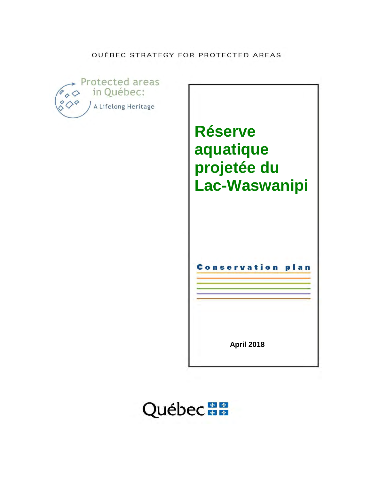QUÉBEC STRATEGY FOR PROTECTED AREAS



**Réserve aquatique projetée du Lac-Waswanipi**

Conservation plan

**April 2018** 

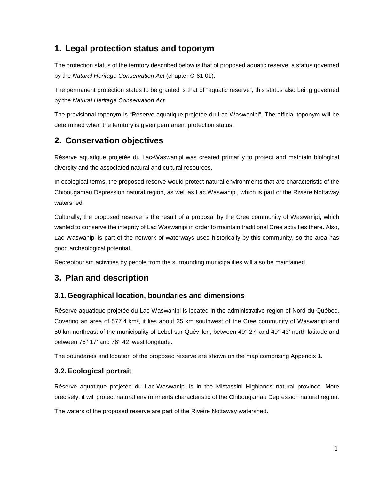## **1. Legal protection status and toponym**

The protection status of the territory described below is that of proposed aquatic reserve, a status governed by the Natural Heritage Conservation Act (chapter C-61.01).

The permanent protection status to be granted is that of "aquatic reserve", this status also being governed by the Natural Heritage Conservation Act.

The provisional toponym is "Réserve aquatique projetée du Lac-Waswanipi". The official toponym will be determined when the territory is given permanent protection status.

## **2. Conservation objectives**

Réserve aquatique projetée du Lac-Waswanipi was created primarily to protect and maintain biological diversity and the associated natural and cultural resources.

In ecological terms, the proposed reserve would protect natural environments that are characteristic of the Chibougamau Depression natural region, as well as Lac Waswanipi, which is part of the Rivière Nottaway watershed.

Culturally, the proposed reserve is the result of a proposal by the Cree community of Waswanipi, which wanted to conserve the integrity of Lac Waswanipi in order to maintain traditional Cree activities there. Also, Lac Waswanipi is part of the network of waterways used historically by this community, so the area has good archeological potential.

Recreotourism activities by people from the surrounding municipalities will also be maintained.

## **3. Plan and description**

### **3.1. Geographical location, boundaries and dimensions**

Réserve aquatique projetée du Lac-Waswanipi is located in the administrative region of Nord-du-Québec. Covering an area of 577.4 km², it lies about 35 km southwest of the Cree community of Waswanipi and 50 km northeast of the municipality of Lebel-sur-Quévillon, between 49° 27' and 49° 43' north latitude and between 76° 17' and 76° 42' west longitude.

The boundaries and location of the proposed reserve are shown on the map comprising Appendix 1.

### **3.2. Ecological portrait**

Réserve aquatique projetée du Lac-Waswanipi is in the Mistassini Highlands natural province. More precisely, it will protect natural environments characteristic of the Chibougamau Depression natural region.

The waters of the proposed reserve are part of the Rivière Nottaway watershed.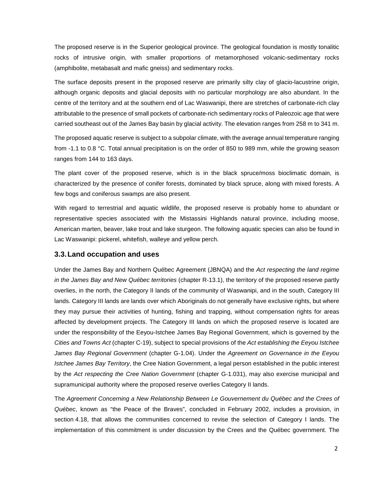The proposed reserve is in the Superior geological province. The geological foundation is mostly tonalitic rocks of intrusive origin, with smaller proportions of metamorphosed volcanic-sedimentary rocks (amphibolite, metabasalt and mafic gneiss) and sedimentary rocks.

The surface deposits present in the proposed reserve are primarily silty clay of glacio-lacustrine origin, although organic deposits and glacial deposits with no particular morphology are also abundant. In the centre of the territory and at the southern end of Lac Waswanipi, there are stretches of carbonate-rich clay attributable to the presence of small pockets of carbonate-rich sedimentary rocks of Paleozoic age that were carried southeast out of the James Bay basin by glacial activity. The elevation ranges from 258 m to 341 m.

The proposed aquatic reserve is subject to a subpolar climate, with the average annual temperature ranging from -1.1 to 0.8 °C. Total annual precipitation is on the order of 850 to 989 mm, while the growing season ranges from 144 to 163 days.

The plant cover of the proposed reserve, which is in the black spruce/moss bioclimatic domain, is characterized by the presence of conifer forests, dominated by black spruce, along with mixed forests. A few bogs and coniferous swamps are also present.

With regard to terrestrial and aquatic wildlife, the proposed reserve is probably home to abundant or representative species associated with the Mistassini Highlands natural province, including moose, American marten, beaver, lake trout and lake sturgeon. The following aquatic species can also be found in Lac Waswanipi: pickerel, whitefish, walleye and yellow perch.

### **3.3. Land occupation and uses**

Under the James Bay and Northern Québec Agreement (JBNQA) and the Act respecting the land regime in the James Bay and New Québec territories (chapter R-13.1), the territory of the proposed reserve partly overlies, in the north, the Category II lands of the community of Waswanipi, and in the south, Category III lands. Category III lands are lands over which Aboriginals do not generally have exclusive rights, but where they may pursue their activities of hunting, fishing and trapping, without compensation rights for areas affected by development projects. The Category III lands on which the proposed reserve is located are under the responsibility of the Eeyou-Istchee James Bay Regional Government, which is governed by the Cities and Towns Act (chapter C-19), subject to special provisions of the Act establishing the Eeyou Istchee James Bay Regional Government (chapter G-1.04). Under the Agreement on Governance in the Eeyou Istchee James Bay Territory, the Cree Nation Government, a legal person established in the public interest by the Act respecting the Cree Nation Government (chapter G-1.031), may also exercise municipal and supramunicipal authority where the proposed reserve overlies Category II lands.

The Agreement Concerning a New Relationship Between Le Gouvernement du Québec and the Crees of Québec, known as "the Peace of the Braves", concluded in February 2002, includes a provision, in section 4.18, that allows the communities concerned to revise the selection of Category I lands. The implementation of this commitment is under discussion by the Crees and the Québec government. The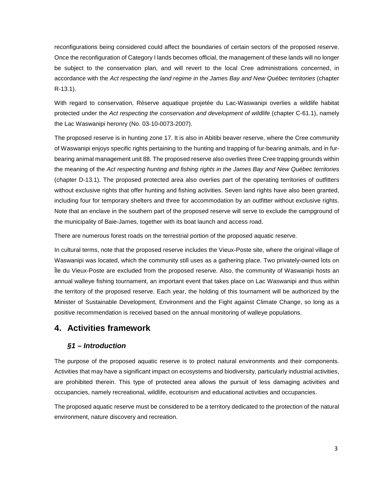reconfigurations being considered could affect the boundaries of certain sectors of the proposed reserve. Once the reconfiguration of Category I lands becomes official, the management of these lands will no longer be subject to the conservation plan, and will revert to the local Cree administrations concerned, in accordance with the Act respecting the land regime in the James Bay and New Québec territories (chapter R-13.1).

With regard to conservation, Réserve aquatique projetée du Lac-Waswanipi overlies a wildlife habitat protected under the Act respecting the conservation and development of wildlife (chapter C-61.1), namely the Lac Waswanipi heronry (No. 03-10-0073-2007).

The proposed reserve is in hunting zone 17. It is also in Abitibi beaver reserve, where the Cree community of Waswanipi enjoys specific rights pertaining to the hunting and trapping of fur-bearing animals, and in furbearing animal management unit 88. The proposed reserve also overlies three Cree trapping grounds within the meaning of the Act respecting hunting and fishing rights in the James Bay and New Québec territories (chapter D-13.1). The proposed protected area also overlies part of the operating territories of outfitters without exclusive rights that offer hunting and fishing activities. Seven land rights have also been granted, including four for temporary shelters and three for accommodation by an outfitter without exclusive rights. Note that an enclave in the southern part of the proposed reserve will serve to exclude the campground of the municipality of Baie-James, together with its boat launch and access road.

There are numerous forest roads on the terrestrial portion of the proposed aquatic reserve.

In cultural terms, note that the proposed reserve includes the Vieux-Poste site, where the original village of Waswanipi was located, which the community still uses as a gathering place. Two privately-owned lots on Île du Vieux-Poste are excluded from the proposed reserve. Also, the community of Waswanipi hosts an annual walleye fishing tournament, an important event that takes place on Lac Waswanipi and thus within the territory of the proposed reserve. Each year, the holding of this tournament will be authorized by the Minister of Sustainable Development, Environment and the Fight against Climate Change, so long as a positive recommendation is received based on the annual monitoring of walleye populations.

## **4. Activities framework**

### **§1 – Introduction**

The purpose of the proposed aquatic reserve is to protect natural environments and their components. Activities that may have a significant impact on ecosystems and biodiversity, particularly industrial activities, are prohibited therein. This type of protected area allows the pursuit of less damaging activities and occupancies, namely recreational, wildlife, ecotourism and educational activities and occupancies.

The proposed aquatic reserve must be considered to be a territory dedicated to the protection of the natural environment, nature discovery and recreation.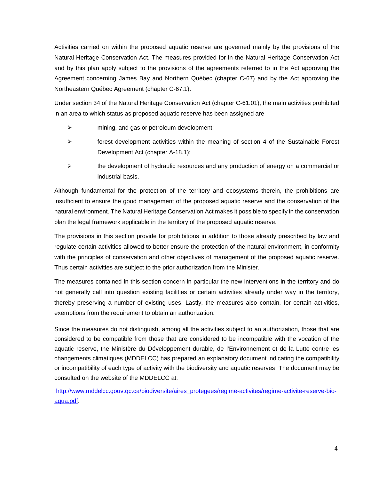Activities carried on within the proposed aquatic reserve are governed mainly by the provisions of the Natural Heritage Conservation Act. The measures provided for in the Natural Heritage Conservation Act and by this plan apply subject to the provisions of the agreements referred to in the Act approving the Agreement concerning James Bay and Northern Québec (chapter C-67) and by the Act approving the Northeastern Québec Agreement (chapter C-67.1).

Under section 34 of the Natural Heritage Conservation Act (chapter C-61.01), the main activities prohibited in an area to which status as proposed aquatic reserve has been assigned are

- $\triangleright$  mining, and gas or petroleum development;
- $\triangleright$  forest development activities within the meaning of section 4 of the Sustainable Forest Development Act (chapter A-18.1);
- $\triangleright$  the development of hydraulic resources and any production of energy on a commercial or industrial basis.

Although fundamental for the protection of the territory and ecosystems therein, the prohibitions are insufficient to ensure the good management of the proposed aquatic reserve and the conservation of the natural environment. The Natural Heritage Conservation Act makes it possible to specify in the conservation plan the legal framework applicable in the territory of the proposed aquatic reserve.

The provisions in this section provide for prohibitions in addition to those already prescribed by law and regulate certain activities allowed to better ensure the protection of the natural environment, in conformity with the principles of conservation and other objectives of management of the proposed aquatic reserve. Thus certain activities are subject to the prior authorization from the Minister.

The measures contained in this section concern in particular the new interventions in the territory and do not generally call into question existing facilities or certain activities already under way in the territory, thereby preserving a number of existing uses. Lastly, the measures also contain, for certain activities, exemptions from the requirement to obtain an authorization.

Since the measures do not distinguish, among all the activities subject to an authorization, those that are considered to be compatible from those that are considered to be incompatible with the vocation of the aquatic reserve, the Ministère du Développement durable, de l'Environnement et de la Lutte contre les changements climatiques (MDDELCC) has prepared an explanatory document indicating the compatibility or incompatibility of each type of activity with the biodiversity and aquatic reserves. The document may be consulted on the website of the MDDELCC at:

http://www.mddelcc.gouv.qc.ca/biodiversite/aires\_protegees/regime-activites/regime-activite-reserve-bioaqua.pdf.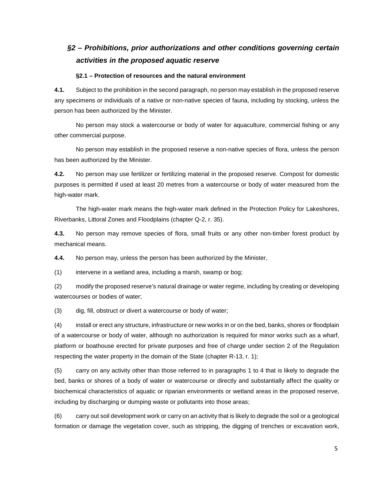## **§2 – Prohibitions, prior authorizations and other conditions governing certain activities in the proposed aquatic reserve**

#### **§2.1 – Protection of resources and the natural environment**

**4.1.** Subject to the prohibition in the second paragraph, no person may establish in the proposed reserve any specimens or individuals of a native or non-native species of fauna, including by stocking, unless the person has been authorized by the Minister.

No person may stock a watercourse or body of water for aquaculture, commercial fishing or any other commercial purpose.

No person may establish in the proposed reserve a non-native species of flora, unless the person has been authorized by the Minister.

**4.2.** No person may use fertilizer or fertilizing material in the proposed reserve. Compost for domestic purposes is permitted if used at least 20 metres from a watercourse or body of water measured from the high-water mark.

The high-water mark means the high-water mark defined in the Protection Policy for Lakeshores, Riverbanks, Littoral Zones and Floodplains (chapter Q-2, r. 35).

**4.3.** No person may remove species of flora, small fruits or any other non-timber forest product by mechanical means.

**4.4.** No person may, unless the person has been authorized by the Minister,

(1) intervene in a wetland area, including a marsh, swamp or bog;

(2) modify the proposed reserve's natural drainage or water regime, including by creating or developing watercourses or bodies of water;

(3) dig, fill, obstruct or divert a watercourse or body of water;

(4) install or erect any structure, infrastructure or new works in or on the bed, banks, shores or floodplain of a watercourse or body of water, although no authorization is required for minor works such as a wharf, platform or boathouse erected for private purposes and free of charge under section 2 of the Regulation respecting the water property in the domain of the State (chapter R-13, r. 1);

(5) carry on any activity other than those referred to in paragraphs 1 to 4 that is likely to degrade the bed, banks or shores of a body of water or watercourse or directly and substantially affect the quality or biochemical characteristics of aquatic or riparian environments or wetland areas in the proposed reserve, including by discharging or dumping waste or pollutants into those areas;

(6) carry out soil development work or carry on an activity that is likely to degrade the soil or a geological formation or damage the vegetation cover, such as stripping, the digging of trenches or excavation work,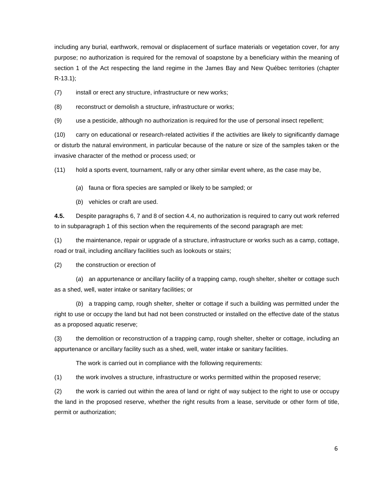including any burial, earthwork, removal or displacement of surface materials or vegetation cover, for any purpose; no authorization is required for the removal of soapstone by a beneficiary within the meaning of section 1 of the Act respecting the land regime in the James Bay and New Québec territories (chapter R-13.1);

(7) install or erect any structure, infrastructure or new works;

(8) reconstruct or demolish a structure, infrastructure or works;

(9) use a pesticide, although no authorization is required for the use of personal insect repellent;

(10) carry on educational or research-related activities if the activities are likely to significantly damage or disturb the natural environment, in particular because of the nature or size of the samples taken or the invasive character of the method or process used; or

(11) hold a sports event, tournament, rally or any other similar event where, as the case may be,

- (a) fauna or flora species are sampled or likely to be sampled; or
- (b) vehicles or craft are used.

**4.5.** Despite paragraphs 6, 7 and 8 of section 4.4, no authorization is required to carry out work referred to in subparagraph 1 of this section when the requirements of the second paragraph are met:

(1) the maintenance, repair or upgrade of a structure, infrastructure or works such as a camp, cottage, road or trail, including ancillary facilities such as lookouts or stairs;

(2) the construction or erection of

(a) an appurtenance or ancillary facility of a trapping camp, rough shelter, shelter or cottage such as a shed, well, water intake or sanitary facilities; or

(b) a trapping camp, rough shelter, shelter or cottage if such a building was permitted under the right to use or occupy the land but had not been constructed or installed on the effective date of the status as a proposed aquatic reserve;

(3) the demolition or reconstruction of a trapping camp, rough shelter, shelter or cottage, including an appurtenance or ancillary facility such as a shed, well, water intake or sanitary facilities.

The work is carried out in compliance with the following requirements:

(1) the work involves a structure, infrastructure or works permitted within the proposed reserve;

(2) the work is carried out within the area of land or right of way subject to the right to use or occupy the land in the proposed reserve, whether the right results from a lease, servitude or other form of title, permit or authorization;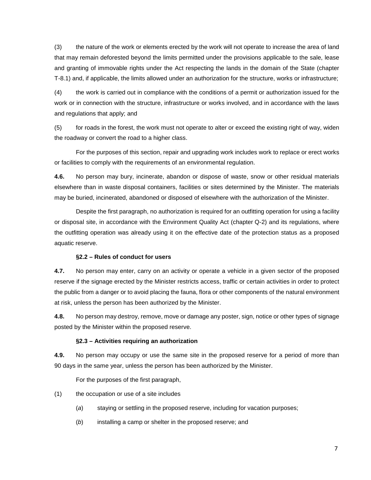(3) the nature of the work or elements erected by the work will not operate to increase the area of land that may remain deforested beyond the limits permitted under the provisions applicable to the sale, lease and granting of immovable rights under the Act respecting the lands in the domain of the State (chapter T-8.1) and, if applicable, the limits allowed under an authorization for the structure, works or infrastructure;

(4) the work is carried out in compliance with the conditions of a permit or authorization issued for the work or in connection with the structure, infrastructure or works involved, and in accordance with the laws and regulations that apply; and

(5) for roads in the forest, the work must not operate to alter or exceed the existing right of way, widen the roadway or convert the road to a higher class.

For the purposes of this section, repair and upgrading work includes work to replace or erect works or facilities to comply with the requirements of an environmental regulation.

**4.6.** No person may bury, incinerate, abandon or dispose of waste, snow or other residual materials elsewhere than in waste disposal containers, facilities or sites determined by the Minister. The materials may be buried, incinerated, abandoned or disposed of elsewhere with the authorization of the Minister.

Despite the first paragraph, no authorization is required for an outfitting operation for using a facility or disposal site, in accordance with the Environment Quality Act (chapter Q-2) and its regulations, where the outfitting operation was already using it on the effective date of the protection status as a proposed aquatic reserve.

### **§2.2 – Rules of conduct for users**

**4.7.** No person may enter, carry on an activity or operate a vehicle in a given sector of the proposed reserve if the signage erected by the Minister restricts access, traffic or certain activities in order to protect the public from a danger or to avoid placing the fauna, flora or other components of the natural environment at risk, unless the person has been authorized by the Minister.

**4.8.** No person may destroy, remove, move or damage any poster, sign, notice or other types of signage posted by the Minister within the proposed reserve.

### **§2.3 – Activities requiring an authorization**

**4.9.** No person may occupy or use the same site in the proposed reserve for a period of more than 90 days in the same year, unless the person has been authorized by the Minister.

For the purposes of the first paragraph,

(1) the occupation or use of a site includes

- (a) staying or settling in the proposed reserve, including for vacation purposes;
- (b) installing a camp or shelter in the proposed reserve; and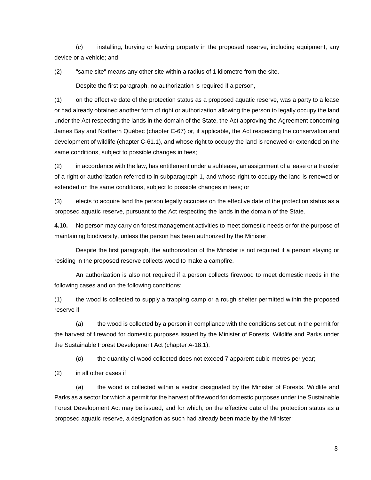(c) installing, burying or leaving property in the proposed reserve, including equipment, any device or a vehicle; and

(2) "same site" means any other site within a radius of 1 kilometre from the site.

Despite the first paragraph, no authorization is required if a person,

(1) on the effective date of the protection status as a proposed aquatic reserve, was a party to a lease or had already obtained another form of right or authorization allowing the person to legally occupy the land under the Act respecting the lands in the domain of the State, the Act approving the Agreement concerning James Bay and Northern Québec (chapter C-67) or, if applicable, the Act respecting the conservation and development of wildlife (chapter C-61.1), and whose right to occupy the land is renewed or extended on the same conditions, subject to possible changes in fees;

(2) in accordance with the law, has entitlement under a sublease, an assignment of a lease or a transfer of a right or authorization referred to in subparagraph 1, and whose right to occupy the land is renewed or extended on the same conditions, subject to possible changes in fees; or

(3) elects to acquire land the person legally occupies on the effective date of the protection status as a proposed aquatic reserve, pursuant to the Act respecting the lands in the domain of the State.

**4.10.** No person may carry on forest management activities to meet domestic needs or for the purpose of maintaining biodiversity, unless the person has been authorized by the Minister.

 Despite the first paragraph, the authorization of the Minister is not required if a person staying or residing in the proposed reserve collects wood to make a campfire.

An authorization is also not required if a person collects firewood to meet domestic needs in the following cases and on the following conditions:

(1) the wood is collected to supply a trapping camp or a rough shelter permitted within the proposed reserve if

(a) the wood is collected by a person in compliance with the conditions set out in the permit for the harvest of firewood for domestic purposes issued by the Minister of Forests, Wildlife and Parks under the Sustainable Forest Development Act (chapter A-18.1);

(b) the quantity of wood collected does not exceed 7 apparent cubic metres per year;

(2) in all other cases if

(a) the wood is collected within a sector designated by the Minister of Forests, Wildlife and Parks as a sector for which a permit for the harvest of firewood for domestic purposes under the Sustainable Forest Development Act may be issued, and for which, on the effective date of the protection status as a proposed aquatic reserve, a designation as such had already been made by the Minister;

8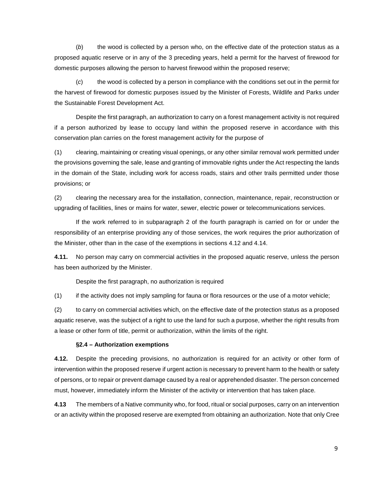(b) the wood is collected by a person who, on the effective date of the protection status as a proposed aquatic reserve or in any of the 3 preceding years, held a permit for the harvest of firewood for domestic purposes allowing the person to harvest firewood within the proposed reserve;

(c) the wood is collected by a person in compliance with the conditions set out in the permit for the harvest of firewood for domestic purposes issued by the Minister of Forests, Wildlife and Parks under the Sustainable Forest Development Act.

 Despite the first paragraph, an authorization to carry on a forest management activity is not required if a person authorized by lease to occupy land within the proposed reserve in accordance with this conservation plan carries on the forest management activity for the purpose of

(1) clearing, maintaining or creating visual openings, or any other similar removal work permitted under the provisions governing the sale, lease and granting of immovable rights under the Act respecting the lands in the domain of the State, including work for access roads, stairs and other trails permitted under those provisions; or

(2) clearing the necessary area for the installation, connection, maintenance, repair, reconstruction or upgrading of facilities, lines or mains for water, sewer, electric power or telecommunications services.

If the work referred to in subparagraph 2 of the fourth paragraph is carried on for or under the responsibility of an enterprise providing any of those services, the work requires the prior authorization of the Minister, other than in the case of the exemptions in sections 4.12 and 4.14.

**4.11.** No person may carry on commercial activities in the proposed aquatic reserve, unless the person has been authorized by the Minister.

Despite the first paragraph, no authorization is required

(1) if the activity does not imply sampling for fauna or flora resources or the use of a motor vehicle;

(2) to carry on commercial activities which, on the effective date of the protection status as a proposed aquatic reserve, was the subject of a right to use the land for such a purpose, whether the right results from a lease or other form of title, permit or authorization, within the limits of the right.

#### **§2.4 – Authorization exemptions**

**4.12.** Despite the preceding provisions, no authorization is required for an activity or other form of intervention within the proposed reserve if urgent action is necessary to prevent harm to the health or safety of persons, or to repair or prevent damage caused by a real or apprehended disaster. The person concerned must, however, immediately inform the Minister of the activity or intervention that has taken place.

**4.13** The members of a Native community who, for food, ritual or social purposes, carry on an intervention or an activity within the proposed reserve are exempted from obtaining an authorization. Note that only Cree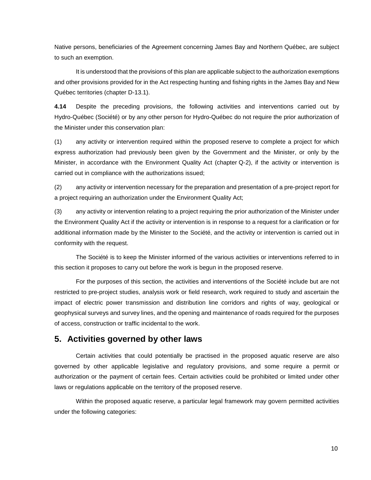Native persons, beneficiaries of the Agreement concerning James Bay and Northern Québec, are subject to such an exemption.

It is understood that the provisions of this plan are applicable subject to the authorization exemptions and other provisions provided for in the Act respecting hunting and fishing rights in the James Bay and New Québec territories (chapter D-13.1).

**4.14** Despite the preceding provisions, the following activities and interventions carried out by Hydro-Québec (Société) or by any other person for Hydro-Québec do not require the prior authorization of the Minister under this conservation plan:

(1) any activity or intervention required within the proposed reserve to complete a project for which express authorization had previously been given by the Government and the Minister, or only by the Minister, in accordance with the Environment Quality Act (chapter Q-2), if the activity or intervention is carried out in compliance with the authorizations issued;

(2) any activity or intervention necessary for the preparation and presentation of a pre-project report for a project requiring an authorization under the Environment Quality Act;

(3) any activity or intervention relating to a project requiring the prior authorization of the Minister under the Environment Quality Act if the activity or intervention is in response to a request for a clarification or for additional information made by the Minister to the Société, and the activity or intervention is carried out in conformity with the request.

The Société is to keep the Minister informed of the various activities or interventions referred to in this section it proposes to carry out before the work is begun in the proposed reserve.

For the purposes of this section, the activities and interventions of the Société include but are not restricted to pre-project studies, analysis work or field research, work required to study and ascertain the impact of electric power transmission and distribution line corridors and rights of way, geological or geophysical surveys and survey lines, and the opening and maintenance of roads required for the purposes of access, construction or traffic incidental to the work.

## **5. Activities governed by other laws**

Certain activities that could potentially be practised in the proposed aquatic reserve are also governed by other applicable legislative and regulatory provisions, and some require a permit or authorization or the payment of certain fees. Certain activities could be prohibited or limited under other laws or regulations applicable on the territory of the proposed reserve.

Within the proposed aquatic reserve, a particular legal framework may govern permitted activities under the following categories: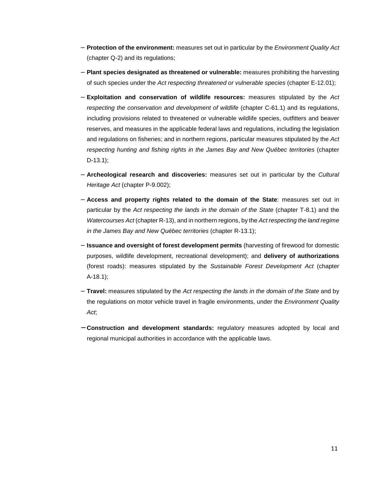- − **Protection of the environment:** measures set out in particular by the Environment Quality Act (chapter Q-2) and its regulations;
- − **Plant species designated as threatened or vulnerable:** measures prohibiting the harvesting of such species under the Act respecting threatened or vulnerable species (chapter E-12.01);
- − **Exploitation and conservation of wildlife resources:** measures stipulated by the Act respecting the conservation and development of wildlife (chapter C-61.1) and its regulations, including provisions related to threatened or vulnerable wildlife species, outfitters and beaver reserves, and measures in the applicable federal laws and regulations, including the legislation and regulations on fisheries; and in northern regions, particular measures stipulated by the Act respecting hunting and fishing rights in the James Bay and New Québec territories (chapter D-13.1);
- − **Archeological research and discoveries:** measures set out in particular by the Cultural Heritage Act (chapter P-9.002);
- − **Access and property rights related to the domain of the State**: measures set out in particular by the Act respecting the lands in the domain of the State (chapter T-8.1) and the Watercourses Act (chapter R-13), and in northern regions, by the Act respecting the land regime in the James Bay and New Québec territories (chapter R-13.1);
- − **Issuance and oversight of forest development permits** (harvesting of firewood for domestic purposes, wildlife development, recreational development); and **delivery of authorizations** (forest roads): measures stipulated by the Sustainable Forest Development Act (chapter A-18.1);
- − **Travel:** measures stipulated by the Act respecting the lands in the domain of the State and by the regulations on motor vehicle travel in fragile environments, under the Environment Quality Act;
- − **Construction and development standards:** regulatory measures adopted by local and regional municipal authorities in accordance with the applicable laws.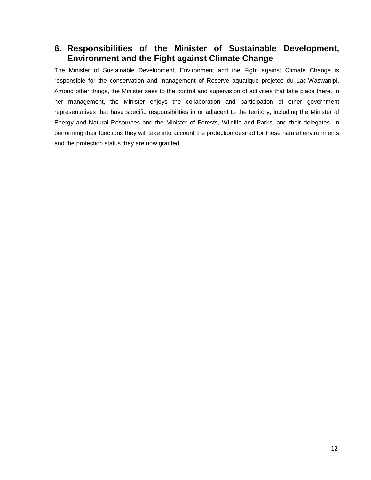## **6. Responsibilities of the Minister of Sustainable Development, Environment and the Fight against Climate Change**

The Minister of Sustainable Development, Environment and the Fight against Climate Change is responsible for the conservation and management of Réserve aquatique projetée du Lac-Waswanipi. Among other things, the Minister sees to the control and supervision of activities that take place there. In her management, the Minister enjoys the collaboration and participation of other government representatives that have specific responsibilities in or adjacent to the territory, including the Minister of Energy and Natural Resources and the Minister of Forests, Wildlife and Parks, and their delegates. In performing their functions they will take into account the protection desired for these natural environments and the protection status they are now granted.